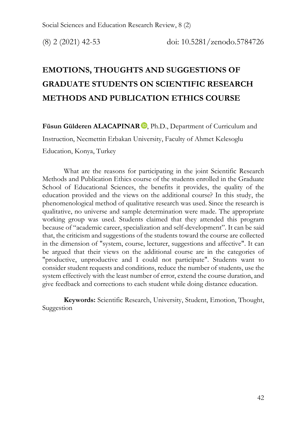# **EMOTIONS, THOUGHTS AND SUGGESTIONS OF GRADUATE STUDENTS ON SCIENTIFIC RESEARCH METHODS AND PUBLICATION ETHICS COURSE**

Füsun Gülderen ALACAPINAR<sup>D</sup>, Ph.D., Department of Curriculum and

Instruction, Necmettin Erbakan University, Faculty of Ahmet Kelesoglu

Education, Konya, Turkey

What are the reasons for participating in the joint Scientific Research Methods and Publication Ethics course of the students enrolled in the Graduate School of Educational Sciences, the benefits it provides, the quality of the education provided and the views on the additional course? In this study, the phenomenological method of qualitative research was used. Since the research is qualitative, no universe and sample determination were made. The appropriate working group was used. Students claimed that they attended this program because of "academic career, specialization and self-development". It can be said that, the criticism and suggestions of the students toward the course are collected in the dimension of "system, course, lecturer, suggestions and affective". It can be argued that their views on the additional course are in the categories of "productive, unproductive and I could not participate". Students want to consider student requests and conditions, reduce the number of students, use the system effectively with the least number of error, extend the course duration, and give feedback and corrections to each student while doing distance education.

**Keywords:** Scientific Research, University, Student, Emotion, Thought, Suggestion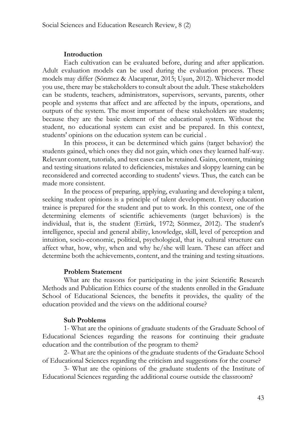#### **Introduction**

Each cultivation can be evaluated before, during and after application. Adult evaluation models can be used during the evaluation process. These models may differ (Sönmez & Alacapınar, 2015; Uşun, 2012). Whichever model you use, there may be stakeholders to consult about the adult. These stakeholders can be students, teachers, administrators, supervisors, servants, parents, other people and systems that affect and are affected by the inputs, operations, and outputs of the system. The most important of these stakeholders are students; because they are the basic element of the educational system. Without the student, no educational system can exist and be prepared. In this context, students' opinions on the education system can be curicial .

In this process, it can be determined which gains (target behavior) the students gained, which ones they did not gain, which ones they learned half-way. Relevant content, tutorials, and test cases can be retained. Gains, content, training and testing situations related to deficiencies, mistakes and sloppy learning can be reconsidered and corrected according to students' views. Thus, the catch can be made more consistent.

In the process of preparing, applying, evaluating and developing a talent, seeking student opinions is a principle of talent development. Every education trainee is prepared for the student and put to work. In this context, one of the determining elements of scientific achievements (target behaviors) is the individual, that is, the student (Ertürk, 1972; Sönmez, 2012). The student's intelligence, special and general ability, knowledge, skill, level of perception and intuition, socio-economic, political, psychological, that is, cultural structure can affect what, how, why, when and why he/she will learn. These can affect and determine both the achievements, content, and the training and testing situations.

#### **Problem Statement**

What are the reasons for participating in the joint Scientific Research Methods and Publication Ethics course of the students enrolled in the Graduate School of Educational Sciences, the benefits it provides, the quality of the education provided and the views on the additional course?

#### **Sub Problems**

1- What are the opinions of graduate students of the Graduate School of Educational Sciences regarding the reasons for continuing their graduate education and the contribution of the program to them?

2- What are the opinions of the graduate students of the Graduate School of Educational Sciences regarding the criticism and suggestions for the course?

3- What are the opinions of the graduate students of the Institute of Educational Sciences regarding the additional course outside the classroom?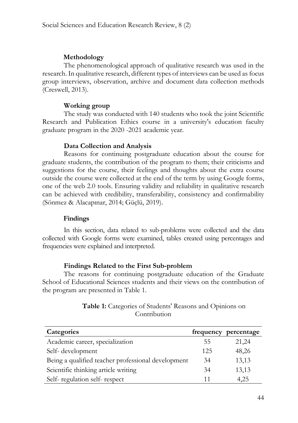# **Methodology**

The phenomenological approach of qualitative research was used in the research. In qualitative research, different types of interviews can be used as focus group interviews, observation, archive and document data collection methods (Creswell, 2013).

# **Working group**

The study was conducted with 140 students who took the joint Scientific Research and Publication Ethics course in a university's education faculty graduate program in the 2020 -2021 academic year.

# **Data Collection and Analysis**

Reasons for continuing postgraduate education about the course for graduate students, the contribution of the program to them; their criticisms and suggestions for the course, their feelings and thoughts about the extra course outside the course were collected at the end of the term by using Google forms, one of the web 2.0 tools. Ensuring validity and reliability in qualitative research can be achieved with credibility, transferability, consistency and confirmability (Sönmez & Alacapınar, 2014; Güçlü, 2019).

# **Findings**

In this section, data related to sub-problems were collected and the data collected with Google forms were examined, tables created using percentages and frequencies were explained and interpreted.

# **Findings Related to the First Sub-problem**

The reasons for continuing postgraduate education of the Graduate School of Educational Sciences students and their views on the contribution of the program are presented in Table 1.

| <b>Table 1:</b> Categories of Students' Reasons and Opinions on |  |
|-----------------------------------------------------------------|--|
| Contribution                                                    |  |

| Categories                                         |     | frequency percentage |
|----------------------------------------------------|-----|----------------------|
| Academic career, specialization                    | 55  | 21,24                |
| Self-development                                   | 125 | 48,26                |
| Being a qualified teacher professional development | 34  | 13,13                |
| Scientific thinking article writing                | 34  | 13,13                |
| Self-regulation self-respect                       | 11  | 4,25                 |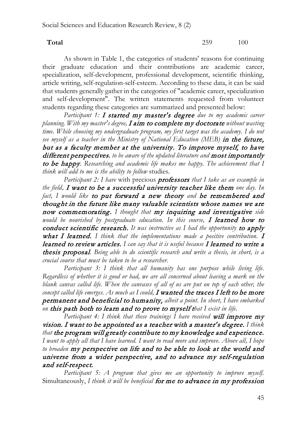**Total** 259 100

As shown in Table 1, the categories of students' reasons for continuing their graduate education and their contributions are academic career, specialization, self-development, professional development, scientific thinking, article writing, self-regulation-self-esteem. According to these data, it can be said that students generally gather in the categories of "academic career, specialization and self-development". The written statements requested from volunteer students regarding these categories are summarized and presented below:

*Participant 1:* I started my master's degree *due to my academic career planning. With my master's degree,* I aim to complete my doctorate *without wasting time. While choosing my undergraduate program, my first target was the academy. I do not see myself as a teacher in the Ministry of National Education (MEB)* in the future, but as a faculty member at the university. To improve myself, to have different perspectives*, to be aware of the updated literature and* most importantly to be happy*. Researching and academic life makes me happy. The achievement that I think will add to me is the ability to follow* studies.

*Participant 2: I have* with precious professors *that I take as an example in the field*. I want to be a successful university teacher like them *one day. In fact, I would like* to put forward a new theory *and* be remembered and thought in the future like many valuable scientists whose names we are now commemorating. *I thought that* my inquiring and investigative *side would be nourished by postgraduate education. In this course,* I learned how to conduct scientific research. *It was instructive as I had the opportunity* to apply what I learned. I think that the implementations made a positive contribution. I learned to review articles. *I can say that it is useful because* I learned to write a thesis proposal*. Being able to do scientific research and write a thesis, in short, is a crucial course that must be taken to be a researcher.*

*Participant 3: I think that all humanity has one purpose while living life. Regardless of whether it is good or bad, we are all concerned about leaving a mark on the blank canvas called life. When the canvases of all of us are put on top of each other, the* concept called life emerges. As much as I could, I wanted the traces I left to be more permanent and beneficial to humanity, *albeit a point. In short, I have embarked on* this path both to learn and to prove to myself t*hat I exist in life.*

Participant 4: I *think that these trainings I have received* will *improve* my vision. I want to be appointed as a teacher with a master's degree. *I think that* the program will greatly contribute to my knowledge and experience. *I want to apply all that I have learned. I want to read more and improve. Above all, I hope to broaden* my perspective on life and to be able to look at the world and universe from a wider perspective, and to advance my self-regulation and self-respect.

*Participant 5: A program that gives me an opportunity to improve myself.*  Simultaneously, *I think it will be beneficial* for me to advance in my profession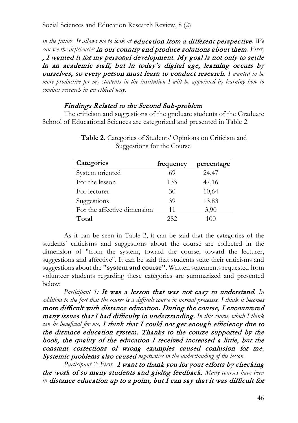*in the future. It allows me to look at* education from a different perspective*. We can see the deficiencies* in our country and produce solutions about them*. First,*  , I wanted it for my personal development. My goal is not only to settle in an academic staff, but in today's digital age, learning occurs by ourselves, so every person must learn to conduct research. *I wanted to be more productive for my students in the institution I will be appointed by learning how to conduct research in an ethical way.*

#### Findings Related to the Second Sub-problem

The criticism and suggestions of the graduate students of the Graduate School of Educational Sciences are categorized and presented in Table 2.

| Categories                  | frequency | percentage |
|-----------------------------|-----------|------------|
| System oriented             | 69        | 24,47      |
| For the lesson              | 133       | 47,16      |
| For lecturer                | 30        | 10,64      |
| Suggestions                 | 39        | 13,83      |
| For the affective dimension | 11        | 3,90       |
| Total                       | 282       | 100        |

**Table 2.** Categories of Students' Opinions on Criticism and Suggestions for the Course

As it can be seen in Table 2, it can be said that the categories of the students' criticisms and suggestions about the course are collected in the dimension of "from the system, toward the course, toward the lecturer, suggestions and affective". It can be said that students state their criticisms and suggestions about the **"system and course"**. Written statements requested from volunteer students regarding these categories are summarized and presented below:

*Participant 1:* It was a lesson that was not easy to understand*. In addition to the fact that the course is a difficult course in normal processes, I think it becomes*  more difficult with distance education. During the course, I encountered many issues that I had difficulty in understanding. *In this course, which I think can be beneficial for me,* I think that I could not get enough efficiency due to the distance education system. Thanks to the course supported by the book, the quality of the education I received increased a little, but the constant corrections of wrong examples caused confusion for me. Systemic problems also caused *negativities in the understanding of the lesson.*

*Participant 2: First,* I want to thank you for your efforts by checking the work of so many students and giving feedback. *Many courses have been in* distance education up to a point, but I can say that it was difficult for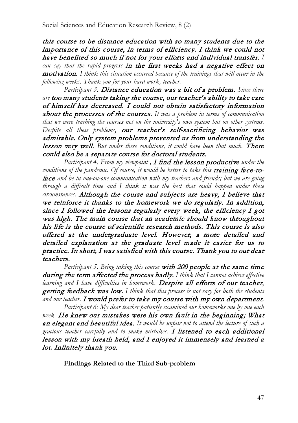this course to be distance education with so many students due to the importance of this course, in terms of efficiency. I think we could not have benefited so much if not for your efforts and individual transfer. *I can say that the rapid progress* in the first weeks had a negative effect on motivation. *I think this situation occurred because of the trainings that will occur in the following weeks. Thank you for your hard work, teacher.*

*Participant 3*. Distance education was a bit of a problem. *Since there are* too many students taking the course, our teacher's ability to take care of himself has decreased. I could not obtain satisfactory information about the processes of the courses. *It was a problem in terms of communication that we were teaching the courses not on the university's own system but on other systems. Despite all these problems*, our teacher's self-sacrificing behavior was admirable. Only system problems prevented us from understanding the lesson very well. *But under these conditions, it could have been that much.* There could also be a separate course for doctoral students.

*Participant 4. From my viewpoint ,* I find the lesson productive *under the*  conditions of the pandemic. Of course, it would be better to take this **training face-to**face *and be in one-on-one communication with my teachers and friends; but we are going through a difficult time and I think it was the best that could happen under these circumstances.* Although the course and subjects are heavy, I believe that we reinforce it thanks to the homework we do regularly. In addition, since I followed the lessons regularly every week, the efficiency I got was high. The main course that an academic should know throughout his life is the course of scientific research methods. This course is also offered at the undergraduate level. However, a more detailed and detailed explanation at the graduate level made it easier for us to practice. In short, I was satisfied with this course. Thank you to our dear teachers.

*Participant 5. Being taking this course* with 200 people at the same time during the term affected the process badly. *I think that I cannot achieve effective learning and I have difficulties in homework.* Despite all efforts of our teacher, getting feedback was low. *I think that this process is not easy for both the students and our teacher.* I would prefer to take my course with my own department.

*Participant 6: My dear teacher patiently examined our homeworks one by one each week.* He knew our mistakes were his own fault in the beginning; What an elegant and beautiful idea. *It would be unfair not to attend the lecture of such a gracious teacher carefully and to make mistakes.* I listened to each additional lesson with my breath held, and I enjoyed it immensely and learned a lot. Infinitely thank you.

**Findings Related to the Third Sub-problem**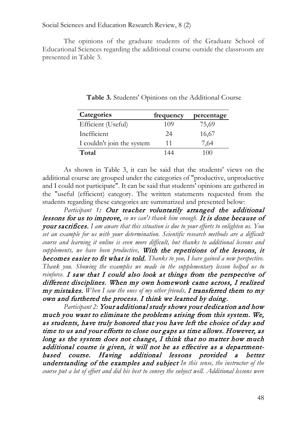The opinions of the graduate students of the Graduate School of Educational Sciences regarding the additional course outside the classroom are presented in Table 3.

| Categories                 | frequency | percentage |
|----------------------------|-----------|------------|
| Efficient (Useful)         | 109       | 75,69      |
| Inefficient                | 24        | 16,67      |
| I couldn't join the system | 11        | 7,64       |
| Total                      | 144       | 100        |

**Table 3.** Students' Opinions on the Additional Course

As shown in Table 3, it can be said that the students' views on the additional course are grouped under the categories of "productive, unproductive and I could not participate". It can be said that students' opinions are gathered in the "useful (efficient) category. The written statements requested from the students regarding these categories are summarized and presented below:

*Participant 1*: Our teacher voluntarily arranged the additional lessons for us to improve, *so we can't thank him enough.* It is done because of your sacrifices. *I am aware that this situation is due to your efforts to enlighten us. You set an example for us with your determination. Scientific research methods are a difficult course and learning it online is even more difficult, but thanks to additional lessons and supplements, we have been productive*. With the repetitions of the lessons, it becomes easier to fit what is told. *Thanks to you, I have gained a new perspective. Thank you. Showing the examples we made in the supplementary lesson helped us to reinforce.* I saw that I could also look at things from the perspective of different disciplines. When my own homework came across, I realized my mistakes. *When I saw the ones of my other friends,* I transferred them to my own and furthered the process. I think we learned by doing.

*Participant 2:* Your additional study shows your dedication and how much you want to eliminate the problems arising from this system. We, as students, have truly honored that you have left the choice of day and time to us and your efforts to close our gaps as time allows. However, as long as the system does not change, I think that no matter how much additional course is given, it will not be as effective as a departmentbased course. Having additional lessons provided a better understanding of the examples and subject *In this sense, the instructor of the course put a lot of effort and did his best to convey the subject well. Additional lessons were*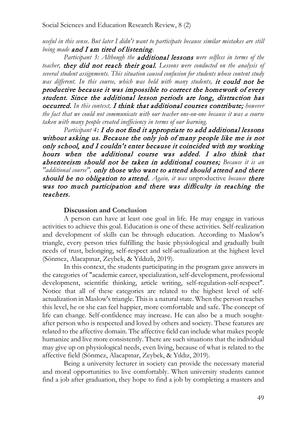*useful in this sense. But later I didn't want to participate because similar mistakes are still being made* and I am tired of listening*.*

*Participant 3: Although the* additional lessons *were selfless in terms of the teacher,* they did not reach their goal. *Lessons were conducted on the analysis of several student assignments. This situation caused confusion for students whose content study*  was different. In this course, which was held with many students, it could not be productive because it was impossible to correct the homework of every student. Since the additional lesson periods are long, distraction has occurred. *In this context,* I think that additional courses contribute; *however the fact that we could not communicate with our teacher one-on-one because it was a course taken with many people created inefficiency in terms of our learning.*

*Participant 4*: I do not find it appropriate to add additional lessons without asking us. Because the only job of many people like me is not only school, and I couldn't enter because it coincided with my working hours when the additional course was added. I also think that absenteeism should not be taken in additional courses; *Because it is an "additional course",* only those who want to attend should attend and there should be no obligation to attend. *Again, it was* unproductive *because* there was too much participation and there was difficulty in reaching the teachers.

#### **Discussion and Conclusion**

A person can have at least one goal in life. He may engage in various activities to achieve this goal. Education is one of these activities. Self-realization and development of skills can be through education. According to Maslow's triangle, every person tries fulfilling the basic physiological and gradually built needs of trust, belonging, self-respect and self-actualization at the highest level (Sönmez, Alacapınar, Zeybek, & Yıldızlı, 2019).

In this context, the students participating in the program gave answers in the categories of "academic career, specialization, self-development, professional development, scientific thinking, article writing, self-regulation-self-respect". Notice that all of these categories are related to the highest level of selfactualization in Maslow's triangle. This is a natural state. When the person reaches this level, he or she can feel happier, more comfortable and safe. The concept of life can change. Self-confidence may increase. He can also be a much soughtafter person who is respected and loved by others and society. These features are related to the affective domain. The affective field can include what makes people humanize and live more consistently. There are such situations that the individual may give up on physiological needs, even living, because of what is related to the affective field (Sönmez, Alacapınar, Zeybek, & Yıldız, 2019).

Being a university lecturer in society can provide the necessary material and moral opportunities to live comfortably. When university students cannot find a job after graduation, they hope to find a job by completing a masters and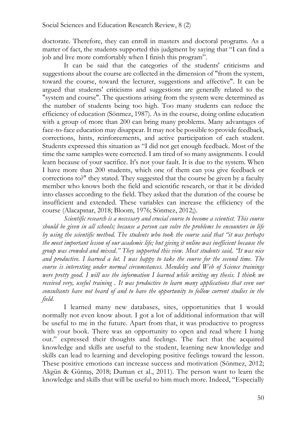doctorate. Therefore, they can enroll in masters and doctoral programs. As a matter of fact, the students supported this judgment by saying that "I can find a job and live more comfortably when I finish this program".

It can be said that the categories of the students' criticisms and suggestions about the course are collected in the dimension of "from the system, toward the course, toward the lecturer, suggestions and affective". It can be argued that students' criticisms and suggestions are generally related to the "system and course". The questions arising from the system were determined as the number of students being too high. Too many students can reduce the efficiency of education (Sönmez, 1987). As in the course, doing online education with a group of more than 200 can bring many problems. Many advantages of face-to-face education may disappear. It may not be possible to provide feedback, corrections, hints, reinforcements, and active participation of each student. Students expressed this situation as "I did not get enough feedback. Most of the time the same samples were corrected. I am tired of so many assignments. I could learn because of your sacrifice. It's not your fault. It is due to the system. When I have more than 200 students, which one of them can you give feedback or corrections to?" they stated. They suggested that the course be given by a faculty member who knows both the field and scientific research, or that it be divided into classes according to the field. They asked that the duration of the course be insufficient and extended. These variables can increase the efficiency of the course (Alacapınar, 2018; Bloom, 1976; Sönmez, 2012;).

*Scientific research is a necessary and crucial course to become a scientist. This course should be given in all schools; because a person can solve the problems he encounters in life by using the scientific method. The students who took the course said that "it was perhaps the most important lesson of our academic life; but giving it online was inefficient because the group was crowded and mixed." They supported this view. Most students said, "It was nice and productive. I learned a lot. I was happy to take the course for the second time. The course is interesting under normal circumstances. Mendeley and Web of Science trainings were pretty good. I will use the information I learned while writing my thesis. I think we received very, useful training . It was productive to learn many applications that even our consultants have not heard of and to have the opportunity to follow current studies in the field.*

I learned many new databases, sites, opportunities that I would normally not even know about. I got a lot of additional information that will be useful to me in the future. Apart from that, it was productive to progress with your book. There was an opportunity to open and read where I hung out." expressed their thoughts and feelings. The fact that the acquired knowledge and skills are useful to the student, learning new knowledge and skills can lead to learning and developing positive feelings toward the lesson. These positive emotions can increase success and motivation (Sönmez, 2012; Akgün & Güntaş, 2018; Duman et al., 2011). The person want to learn the knowledge and skills that will be useful to him much more. Indeed, "Especially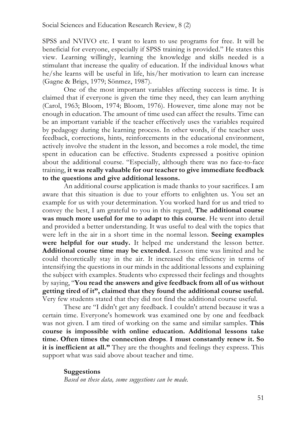SPSS and NVIVO etc. I want to learn to use programs for free. It will be beneficial for everyone, especially if SPSS training is provided." He states this view. Learning willingly, learning the knowledge and skills needed is a stimulant that increase the quality of education. If the individual knows what he/she learns will be useful in life, his/her motivation to learn can increase (Gagne & Brigs, 1979; Sönmez, 1987).

One of the most important variables affecting success is time. It is claimed that if everyone is given the time they need, they can learn anything (Carol, 1963; Bloom, 1974; Bloom, 1976). However, time alone may not be enough in education. The amount of time used can affect the results. Time can be an important variable if the teacher effectively uses the variables required by pedagogy during the learning process. In other words, if the teacher uses feedback, corrections, hints, reinforcements in the educational environment, actively involve the student in the lesson, and becomes a role model, the time spent in education can be effective. Students expressed a positive opinion about the additional course. "Especially, although there was no face-to-face training, **it was really valuable for our teacher to give immediate feedback to the questions and give additional lessons.**

An additional course application is made thanks to your sacrifices. I am aware that this situation is due to your efforts to enlighten us. You set an example for us with your determination. You worked hard for us and tried to convey the best, I am grateful to you in this regard, **The additional course was much more useful for me to adapt to this course**. He went into detail and provided a better understanding. It was useful to deal with the topics that were left in the air in a short time in the normal lesson. **Seeing examples were helpful for our study.** It helped me understand the lesson better. **Additional course time may be extended.** Lesson time was limited and he could theoretically stay in the air. It increased the efficiency in terms of intensifying the questions in our minds in the additional lessons and explaining the subject with examples. Students who expressed their feelings and thoughts by saying, "**You read the answers and give feedback from all of us without getting tired of it", claimed that they found the additional course useful.**  Very few students stated that they did not find the additional course useful.

These are "I didn't get any feedback. I couldn't attend because it was a certain time. Everyone's homework was examined one by one and feedback was not given. I am tired of working on the same and similar samples. **This course is impossible with online education. Additional lessons take time. Often times the connection drops**. **I must constantly renew it. So it is inefficient at all."** They are the thoughts and feelings they express. This support what was said above about teacher and time.

#### **Suggestions**

*Based on these data, some suggestions can be made.*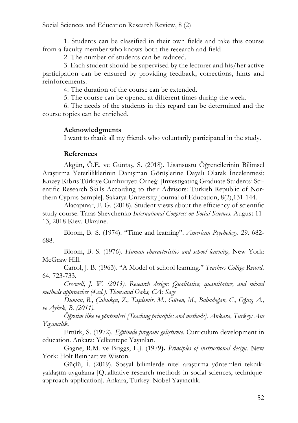1. Students can be classified in their own fields and take this course from a faculty member who knows both the research and field

2. The number of students can be reduced.

3. Each student should be supervised by the lecturer and his/her active participation can be ensured by providing feedback, corrections, hints and reinforcements.

4. The duration of the course can be extended.

5. The course can be opened at different times during the week.

6. The needs of the students in this regard can be determined and the course topics can be enriched.

# **Acknowledgments**

I want to thank all my friends who voluntarily participated in the study.

# **References**

Akgün**,** Ö.E. ve Güntaş, S. (2018). Lisansüstü Öğrencilerinin Bilimsel Araştırma Yeterliliklerinin Danışman Görüşlerine Dayalı Olarak İncelenmesi: Kuzey Kıbrıs Türkiye Cumhuriyeti Örneği [Investigating Graduate Students' Scientific Research Skills According to their Advisors: Turkish Republic of Northern Cyprus Sample]. Sakarya University Journal of Education, 8(2),131-144.

Alacapınar, F. G. (2018). Student views about the efficiency of scientific study course. Taras Shevchenko *International Congress on Social Sciences.* August 11- 13, 2018 Kiev. Ukraine.

Bloom, B. S. (1974). "Time and learning". *American Psychology*. 29. 682- 688.

Bloom, B. S. (1976). *Human characteristics and school learning*. New York: McGraw Hill.

Carrol, J. B. (1963). "A Model of school learning." *Teachers College Record***.**  64. 723-733.

*Creswell, J. W. (2013). Research design: Qualitative, quantitative, and mixed methods approaches (4.ed.). Thousand Oaks, CA: Sage*

*Duman, B., Çubukçu, Z., Taşdemir, M., Güven, M., Babadoğan, C., Oğuz, A., ve Aybek, B. (2011).* 

*Öğretim ilke ve yöntemleri [Teaching principles and methods]. Ankara, Turkey: Anı Yayıncılık.*

Ertürk, S. (1972). *Eğitimde program geliştirme*. Curriculum development in education. Ankara: Yelkentepe Yayınları.

Gagne, R.M. ve Briggs, L.J. (1979**).** *Principles of instructional design.* New York: Holt Reinhart ve Wiston.

Güçlü, İ. (2019). Sosyal bilimlerde nitel araştırma yöntemleri teknikyaklaşım-uygulama [Qualitative research methods in social sciences, techniqueapproach-application]. Ankara, Turkey: Nobel Yayıncılık.